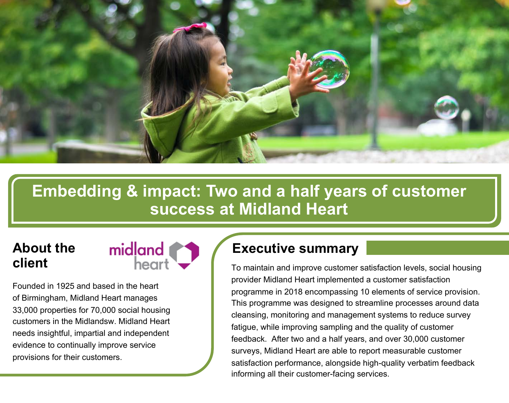

# **Embedding & impact: Two and a half years of customer success at Midland Heart**

# **About the client**



Founded in 1925 and based in the heart of Birmingham, Midland Heart manages 33,000 properties for 70,000 social housing customers in the Midlandsw. Midland Heart needs insightful, impartial and independent evidence to continually improve service provisions for their customers.

## **Executive summary**

To maintain and improve customer satisfaction levels, social housing provider Midland Heart implemented a customer satisfaction programme in 2018 encompassing 10 elements of service provision. This programme was designed to streamline processes around data cleansing, monitoring and management systems to reduce survey fatigue, while improving sampling and the quality of customer feedback. After two and a half years, and over 30,000 customer surveys, Midland Heart are able to report measurable customer satisfaction performance, alongside high-quality verbatim feedback informing all their customer-facing services.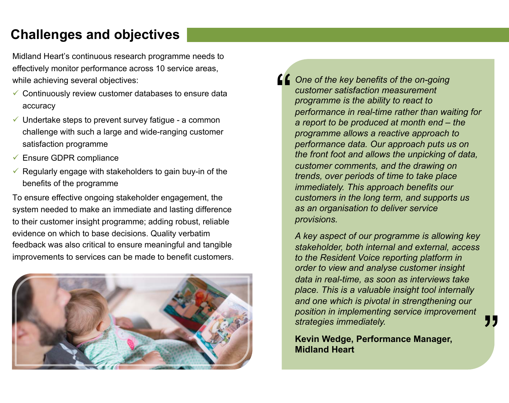# **Challenges and objectives**

Midland Heart's continuous research programme needs to effectively monitor performance across 10 service areas, while achieving several objectives:

- $\checkmark$  Continuously review customer databases to ensure data accuracy
- $\checkmark$  Undertake steps to prevent survey fatigue a common challenge with such a large and wide-ranging customer satisfaction programme
- $\checkmark$  Ensure GDPR compliance
- $\checkmark$  Regularly engage with stakeholders to gain buy-in of the benefits of the programme

To ensure effective ongoing stakeholder engagement, the system needed to make an immediate and lasting difference to their customer insight programme; adding robust, reliable evidence on which to base decisions. Quality verbatim feedback was also critical to ensure meaningful and tangible improvements to services can be made to benefit customers.



**Cone of the key benefits of the on-going customer satisfaction measurement programme is the ability to react to performance in real-time rather than way** *customer satisfaction measurement programme is the ability to react to performance in real-time rather than waiting for a report to be produced at month end – the programme allows a reactive approach to performance data. Our approach puts us on the front foot and allows the unpicking of data, customer comments, and the drawing on trends, over periods of time to take place immediately. This approach benefits our customers in the long term, and supports us as an organisation to deliver service provisions.* 

*A key aspect of our programme is allowing key stakeholder, both internal and external, access to the Resident Voice reporting platform in order to view and analyse customer insight data in real-time, as soon as interviews take place. This is a valuable insight tool internally and one which is pivotal in strengthening our position in implementing service improvement strategies immediately.*

**Kevin Wedge, Performance Manager, Midland Heart**